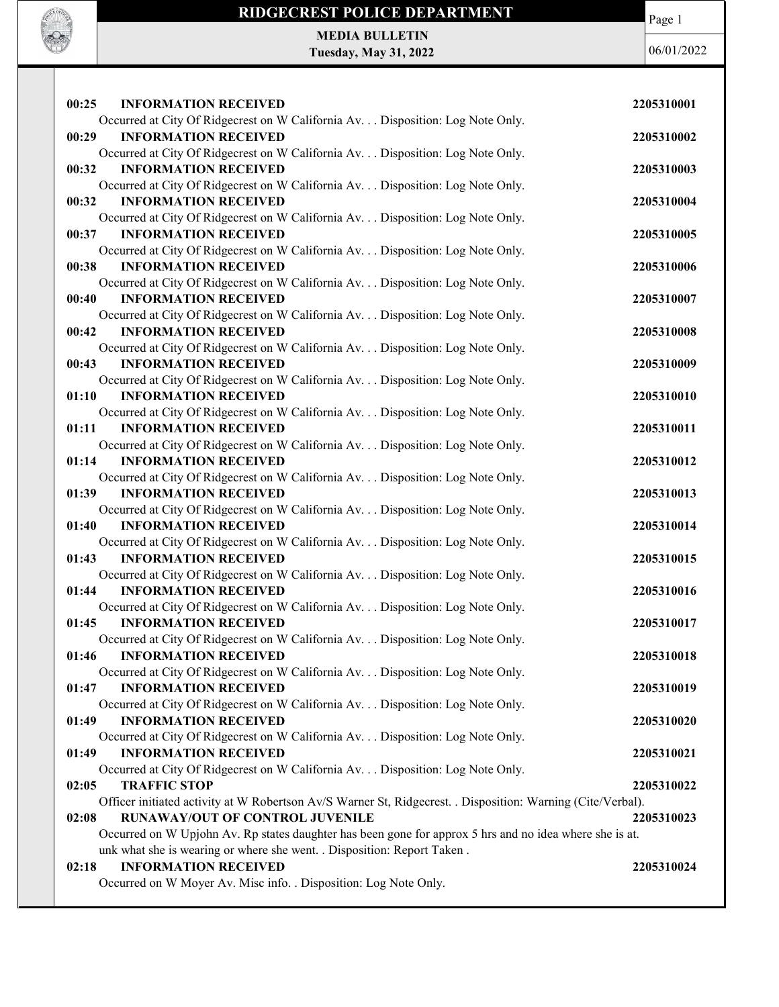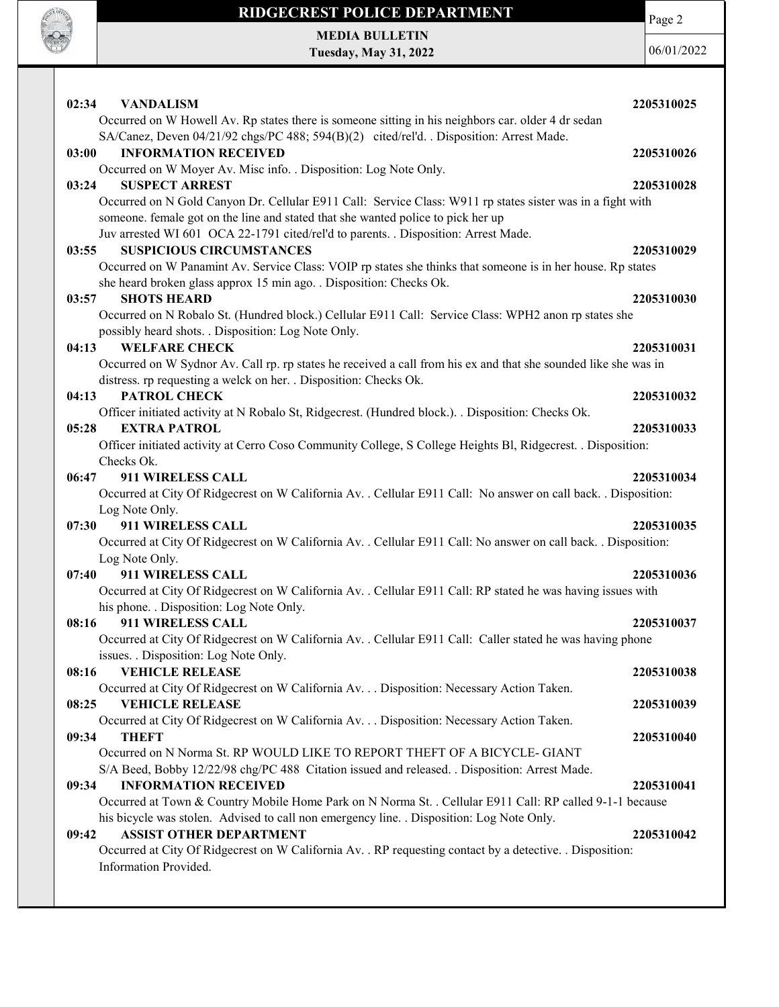

# RIDGECREST POLICE DEPARTMENT MEDIA BULLETIN

Tuesday, May 31, 2022

Page 2

06/01/2022

| 02:34<br><b>VANDALISM</b><br>Occurred on W Howell Av. Rp states there is someone sitting in his neighbors car. older 4 dr sedan                          | 2205310025 |
|----------------------------------------------------------------------------------------------------------------------------------------------------------|------------|
| SA/Canez, Deven 04/21/92 chgs/PC 488; 594(B)(2) cited/rel'd. . Disposition: Arrest Made.                                                                 |            |
| <b>INFORMATION RECEIVED</b><br>03:00                                                                                                                     | 2205310026 |
| Occurred on W Moyer Av. Misc info. . Disposition: Log Note Only.                                                                                         |            |
| 03:24<br><b>SUSPECT ARREST</b>                                                                                                                           | 2205310028 |
| Occurred on N Gold Canyon Dr. Cellular E911 Call: Service Class: W911 rp states sister was in a fight with                                               |            |
| someone. female got on the line and stated that she wanted police to pick her up                                                                         |            |
| Juv arrested WI 601 OCA 22-1791 cited/rel'd to parents. . Disposition: Arrest Made.                                                                      |            |
| <b>SUSPICIOUS CIRCUMSTANCES</b><br>03:55                                                                                                                 | 2205310029 |
| Occurred on W Panamint Av. Service Class: VOIP rp states she thinks that someone is in her house. Rp states                                              |            |
| she heard broken glass approx 15 min ago. . Disposition: Checks Ok.<br><b>SHOTS HEARD</b><br>03:57                                                       | 2205310030 |
| Occurred on N Robalo St. (Hundred block.) Cellular E911 Call: Service Class: WPH2 anon rp states she                                                     |            |
| possibly heard shots. . Disposition: Log Note Only.                                                                                                      |            |
| <b>WELFARE CHECK</b><br>04:13                                                                                                                            | 2205310031 |
| Occurred on W Sydnor Av. Call rp. rp states he received a call from his ex and that she sounded like she was in                                          |            |
| distress. rp requesting a welck on her. . Disposition: Checks Ok.                                                                                        |            |
| PATROL CHECK<br>04:13                                                                                                                                    | 2205310032 |
| Officer initiated activity at N Robalo St, Ridgecrest. (Hundred block.). Disposition: Checks Ok.                                                         |            |
| 05:28<br><b>EXTRA PATROL</b>                                                                                                                             | 2205310033 |
| Officer initiated activity at Cerro Coso Community College, S College Heights Bl, Ridgecrest. . Disposition:                                             |            |
| Checks Ok.                                                                                                                                               |            |
| 06:47<br>911 WIRELESS CALL                                                                                                                               | 2205310034 |
| Occurred at City Of Ridgecrest on W California Av. . Cellular E911 Call: No answer on call back. . Disposition:                                          |            |
| Log Note Only.                                                                                                                                           |            |
| 07:30<br>911 WIRELESS CALL                                                                                                                               | 2205310035 |
| Occurred at City Of Ridgecrest on W California Av. . Cellular E911 Call: No answer on call back. . Disposition:                                          |            |
| Log Note Only.                                                                                                                                           |            |
| 07:40<br>911 WIRELESS CALL                                                                                                                               | 2205310036 |
| Occurred at City Of Ridgecrest on W California Av. . Cellular E911 Call: RP stated he was having issues with<br>his phone. . Disposition: Log Note Only. |            |
| 911 WIRELESS CALL<br>08:16                                                                                                                               | 2205310037 |
| Occurred at City Of Ridgecrest on W California Av. . Cellular E911 Call: Caller stated he was having phone                                               |            |
| issues. . Disposition: Log Note Only.                                                                                                                    |            |
| <b>VEHICLE RELEASE</b><br>08:16                                                                                                                          | 2205310038 |
| Occurred at City Of Ridgecrest on W California Av. Disposition: Necessary Action Taken.                                                                  |            |
| <b>VEHICLE RELEASE</b><br>08:25                                                                                                                          | 2205310039 |
| Occurred at City Of Ridgecrest on W California Av. Disposition: Necessary Action Taken.                                                                  |            |
| 09:34<br><b>THEFT</b>                                                                                                                                    | 2205310040 |
| Occurred on N Norma St. RP WOULD LIKE TO REPORT THEFT OF A BICYCLE-GIANT                                                                                 |            |
| S/A Beed, Bobby 12/22/98 chg/PC 488 Citation issued and released. . Disposition: Arrest Made.                                                            |            |
| <b>INFORMATION RECEIVED</b><br>09:34                                                                                                                     | 2205310041 |
| Occurred at Town & Country Mobile Home Park on N Norma St. . Cellular E911 Call: RP called 9-1-1 because                                                 |            |
| his bicycle was stolen. Advised to call non emergency line. . Disposition: Log Note Only.                                                                |            |
| <b>ASSIST OTHER DEPARTMENT</b><br>09:42                                                                                                                  | 2205310042 |
| Occurred at City Of Ridgecrest on W California Av. . RP requesting contact by a detective. . Disposition:<br>Information Provided.                       |            |
|                                                                                                                                                          |            |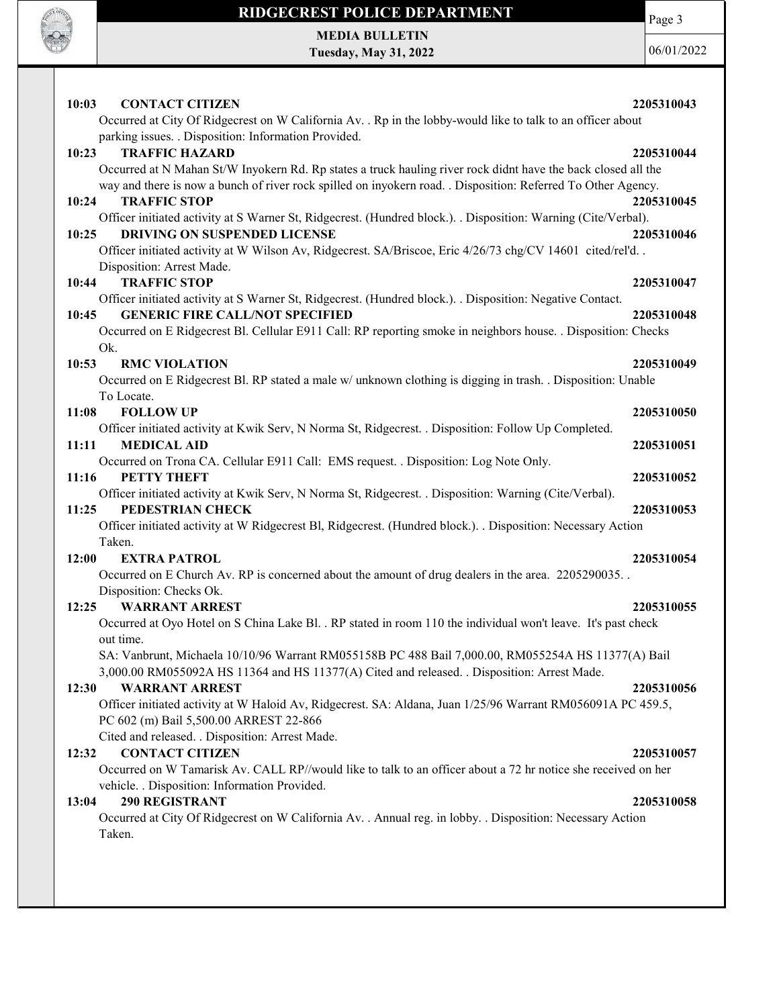

# RIDGECREST POLICE DEPARTMENT

Page 3

MEDIA BULLETIN Tuesday, May 31, 2022

06/01/2022

| 10:03<br><b>CONTACT CITIZEN</b><br>Occurred at City Of Ridgecrest on W California Av. . Rp in the lobby-would like to talk to an officer about                                                                                 | 2205310043 |
|--------------------------------------------------------------------------------------------------------------------------------------------------------------------------------------------------------------------------------|------------|
| parking issues. . Disposition: Information Provided.<br>10:23<br><b>TRAFFIC HAZARD</b>                                                                                                                                         | 2205310044 |
| Occurred at N Mahan St/W Inyokern Rd. Rp states a truck hauling river rock didnt have the back closed all the<br>way and there is now a bunch of river rock spilled on inyokern road. . Disposition: Referred To Other Agency. |            |
| 10:24<br><b>TRAFFIC STOP</b><br>Officer initiated activity at S Warner St, Ridgecrest. (Hundred block.). . Disposition: Warning (Cite/Verbal).                                                                                 | 2205310045 |
| <b>DRIVING ON SUSPENDED LICENSE</b><br>10:25<br>Officer initiated activity at W Wilson Av, Ridgecrest. SA/Briscoe, Eric 4/26/73 chg/CV 14601 cited/rel'd. .                                                                    | 2205310046 |
| Disposition: Arrest Made.<br><b>TRAFFIC STOP</b><br>10:44                                                                                                                                                                      | 2205310047 |
| Officer initiated activity at S Warner St, Ridgecrest. (Hundred block.). . Disposition: Negative Contact.<br><b>GENERIC FIRE CALL/NOT SPECIFIED</b><br>10:45                                                                   | 2205310048 |
| Occurred on E Ridgecrest Bl. Cellular E911 Call: RP reporting smoke in neighbors house. . Disposition: Checks                                                                                                                  |            |
| Ok.<br>10:53<br><b>RMC VIOLATION</b>                                                                                                                                                                                           | 2205310049 |
| Occurred on E Ridgecrest Bl. RP stated a male w/ unknown clothing is digging in trash. Disposition: Unable<br>To Locate.                                                                                                       |            |
| 11:08<br><b>FOLLOW UP</b><br>Officer initiated activity at Kwik Serv, N Norma St, Ridgecrest. . Disposition: Follow Up Completed.                                                                                              | 2205310050 |
| <b>MEDICAL AID</b><br>11:11                                                                                                                                                                                                    | 2205310051 |
| Occurred on Trona CA. Cellular E911 Call: EMS request. . Disposition: Log Note Only.<br>11:16<br><b>PETTY THEFT</b>                                                                                                            | 2205310052 |
| Officer initiated activity at Kwik Serv, N Norma St, Ridgecrest. . Disposition: Warning (Cite/Verbal).<br>PEDESTRIAN CHECK<br>11:25                                                                                            | 2205310053 |
| Officer initiated activity at W Ridgecrest Bl, Ridgecrest. (Hundred block.). . Disposition: Necessary Action<br>Taken.                                                                                                         |            |
| <b>EXTRA PATROL</b><br>12:00                                                                                                                                                                                                   | 2205310054 |
| Occurred on E Church Av. RP is concerned about the amount of drug dealers in the area. 2205290035.<br>Disposition: Checks Ok.                                                                                                  |            |
| <b>WARRANT ARREST</b><br>12:25<br>Occurred at Oyo Hotel on S China Lake Bl. . RP stated in room 110 the individual won't leave. It's past check<br>out time.                                                                   | 2205310055 |
| SA: Vanbrunt, Michaela 10/10/96 Warrant RM055158B PC 488 Bail 7,000.00, RM055254A HS 11377(A) Bail<br>3,000.00 RM055092A HS 11364 and HS 11377(A) Cited and released. . Disposition: Arrest Made.                              |            |
| <b>WARRANT ARREST</b><br>12:30<br>Officer initiated activity at W Haloid Av, Ridgecrest. SA: Aldana, Juan 1/25/96 Warrant RM056091A PC 459.5,                                                                                  | 2205310056 |
| PC 602 (m) Bail 5,500.00 ARREST 22-866<br>Cited and released. . Disposition: Arrest Made.                                                                                                                                      |            |
| <b>CONTACT CITIZEN</b><br>12:32                                                                                                                                                                                                | 2205310057 |
| Occurred on W Tamarisk Av. CALL RP//would like to talk to an officer about a 72 hr notice she received on her<br>vehicle. . Disposition: Information Provided.                                                                 |            |
| 290 REGISTRANT<br>13:04<br>Occurred at City Of Ridgecrest on W California Av. . Annual reg. in lobby. . Disposition: Necessary Action<br>Taken.                                                                                | 2205310058 |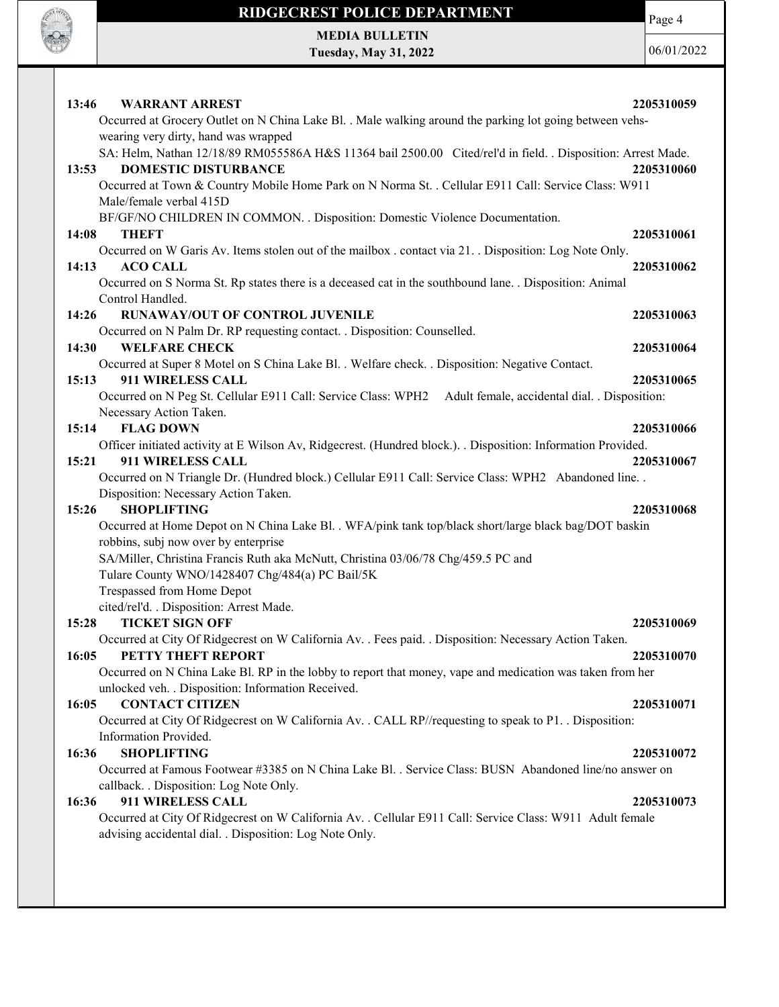

# RIDGECREST POLICE DEPARTMENT

Page 4

MEDIA BULLETIN Tuesday, May 31, 2022

06/01/2022

| 13:46<br><b>WARRANT ARREST</b><br>Occurred at Grocery Outlet on N China Lake Bl. . Male walking around the parking lot going between vehs-<br>wearing very dirty, hand was wrapped                                                                                                                                                                                      | 2205310059 |
|-------------------------------------------------------------------------------------------------------------------------------------------------------------------------------------------------------------------------------------------------------------------------------------------------------------------------------------------------------------------------|------------|
| SA: Helm, Nathan 12/18/89 RM055586A H&S 11364 bail 2500.00 Cited/rel'd in field. . Disposition: Arrest Made.<br><b>DOMESTIC DISTURBANCE</b><br>13:53<br>Occurred at Town & Country Mobile Home Park on N Norma St. . Cellular E911 Call: Service Class: W911<br>Male/female verbal 415D<br>BF/GF/NO CHILDREN IN COMMON. . Disposition: Domestic Violence Documentation. | 2205310060 |
| 14:08<br><b>THEFT</b>                                                                                                                                                                                                                                                                                                                                                   | 2205310061 |
| Occurred on W Garis Av. Items stolen out of the mailbox . contact via 21. . Disposition: Log Note Only.<br><b>ACO CALL</b><br>14:13<br>Occurred on S Norma St. Rp states there is a deceased cat in the southbound lane. . Disposition: Animal<br>Control Handled.                                                                                                      | 2205310062 |
| 14:26<br><b>RUNAWAY/OUT OF CONTROL JUVENILE</b><br>Occurred on N Palm Dr. RP requesting contact. . Disposition: Counselled.                                                                                                                                                                                                                                             | 2205310063 |
| <b>WELFARE CHECK</b><br>14:30<br>Occurred at Super 8 Motel on S China Lake Bl. . Welfare check. . Disposition: Negative Contact.                                                                                                                                                                                                                                        | 2205310064 |
| 15:13<br><b>911 WIRELESS CALL</b><br>Occurred on N Peg St. Cellular E911 Call: Service Class: WPH2 Adult female, accidental dial. . Disposition:<br>Necessary Action Taken.                                                                                                                                                                                             | 2205310065 |
| <b>FLAG DOWN</b><br>15:14<br>Officer initiated activity at E Wilson Av, Ridgecrest. (Hundred block.). Disposition: Information Provided.                                                                                                                                                                                                                                | 2205310066 |
| 15:21<br>911 WIRELESS CALL<br>Occurred on N Triangle Dr. (Hundred block.) Cellular E911 Call: Service Class: WPH2 Abandoned line. .<br>Disposition: Necessary Action Taken.                                                                                                                                                                                             | 2205310067 |
| <b>SHOPLIFTING</b><br>15:26<br>Occurred at Home Depot on N China Lake Bl. . WFA/pink tank top/black short/large black bag/DOT baskin                                                                                                                                                                                                                                    | 2205310068 |
| robbins, subj now over by enterprise<br>SA/Miller, Christina Francis Ruth aka McNutt, Christina 03/06/78 Chg/459.5 PC and<br>Tulare County WNO/1428407 Chg/484(a) PC Bail/5K<br>Trespassed from Home Depot                                                                                                                                                              |            |
| cited/rel'd. . Disposition: Arrest Made.<br><b>TICKET SIGN OFF</b><br>15:28                                                                                                                                                                                                                                                                                             | 2205310069 |
| Occurred at City Of Ridgecrest on W California Av. . Fees paid. . Disposition: Necessary Action Taken.<br>PETTY THEFT REPORT<br>16:05<br>Occurred on N China Lake Bl. RP in the lobby to report that money, vape and medication was taken from her<br>unlocked veh. . Disposition: Information Received.                                                                | 2205310070 |
| <b>CONTACT CITIZEN</b><br>16:05<br>Occurred at City Of Ridgecrest on W California Av. . CALL RP//requesting to speak to P1. . Disposition:<br>Information Provided.                                                                                                                                                                                                     | 2205310071 |
| 16:36<br><b>SHOPLIFTING</b><br>Occurred at Famous Footwear #3385 on N China Lake Bl. . Service Class: BUSN Abandoned line/no answer on<br>callback. . Disposition: Log Note Only.                                                                                                                                                                                       | 2205310072 |
| 911 WIRELESS CALL<br>16:36<br>Occurred at City Of Ridgecrest on W California Av. . Cellular E911 Call: Service Class: W911 Adult female<br>advising accidental dial. . Disposition: Log Note Only.                                                                                                                                                                      | 2205310073 |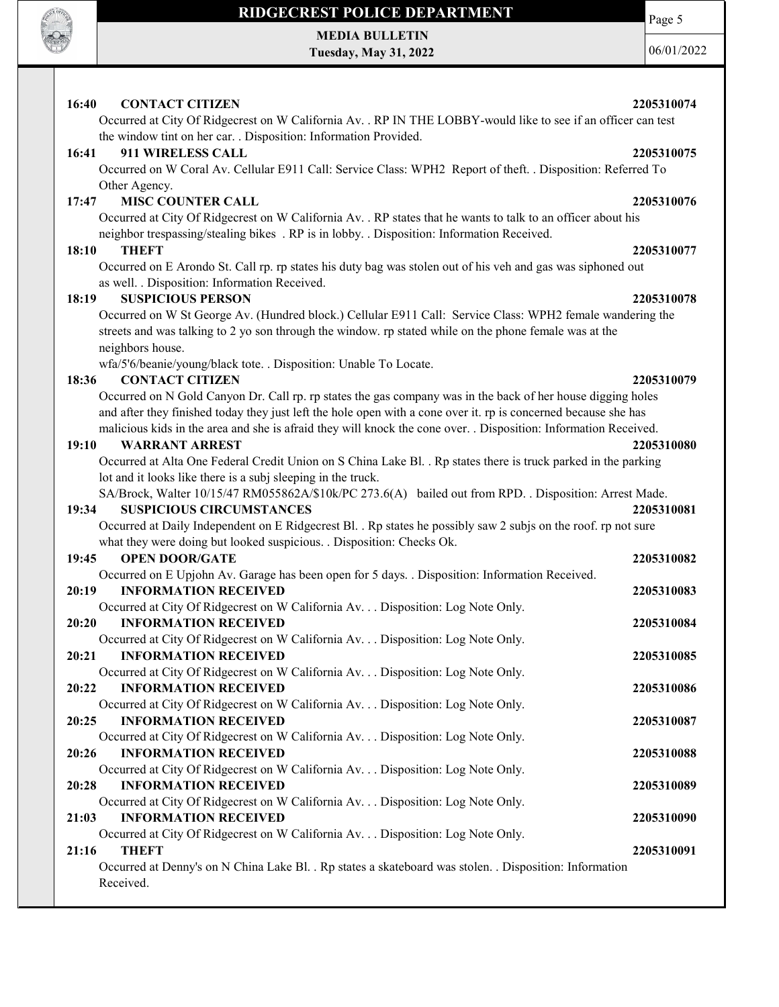

# RIDGECREST POLICE DEPARTMENT

MEDIA BULLETIN Tuesday, May 31, 2022 Page 5

06/01/2022

## 16:40 CONTACT CITIZEN 2205310074

Occurred at City Of Ridgecrest on W California Av. . RP IN THE LOBBY-would like to see if an officer can test the window tint on her car. . Disposition: Information Provided.

## 16:41 911 WIRELESS CALL 2205310075

Occurred on W Coral Av. Cellular E911 Call: Service Class: WPH2 Report of theft. . Disposition: Referred To Other Agency.

## 17:47 MISC COUNTER CALL 2205310076

Occurred at City Of Ridgecrest on W California Av. . RP states that he wants to talk to an officer about his neighbor trespassing/stealing bikes . RP is in lobby. . Disposition: Information Received.

### 18:10 THEFT 2205310077

Occurred on E Arondo St. Call rp. rp states his duty bag was stolen out of his veh and gas was siphoned out as well. . Disposition: Information Received.

### 18:19 SUSPICIOUS PERSON 2205310078

Occurred on W St George Av. (Hundred block.) Cellular E911 Call: Service Class: WPH2 female wandering the streets and was talking to 2 yo son through the window. rp stated while on the phone female was at the neighbors house.

wfa/5'6/beanie/young/black tote. . Disposition: Unable To Locate.

## 18:36 CONTACT CITIZEN 2205310079

Occurred on N Gold Canyon Dr. Call rp. rp states the gas company was in the back of her house digging holes and after they finished today they just left the hole open with a cone over it. rp is concerned because she has malicious kids in the area and she is afraid they will knock the cone over. . Disposition: Information Received.

### 19:10 WARRANT ARREST 2205310080

Occurred at Alta One Federal Credit Union on S China Lake Bl. . Rp states there is truck parked in the parking lot and it looks like there is a subj sleeping in the truck.

SA/Brock, Walter 10/15/47 RM055862A/\$10k/PC 273.6(A) bailed out from RPD. . Disposition: Arrest Made.

## 19:34 SUSPICIOUS CIRCUMSTANCES 2205310081

Occurred at Daily Independent on E Ridgecrest Bl. . Rp states he possibly saw 2 subjs on the roof. rp not sure what they were doing but looked suspicious. . Disposition: Checks Ok.

### 19:45 OPEN DOOR/GATE 2205310082

|       | Occurred on E Upjohn Av. Garage has been open for 5 days. . Disposition: Information Received.          |            |
|-------|---------------------------------------------------------------------------------------------------------|------------|
| 20:19 | <b>INFORMATION RECEIVED</b>                                                                             | 2205310083 |
|       | Occurred at City Of Ridgecrest on W California Av. Disposition: Log Note Only.                          |            |
| 20:20 | <b>INFORMATION RECEIVED</b>                                                                             | 2205310084 |
|       | Occurred at City Of Ridgecrest on W California Av. Disposition: Log Note Only.                          |            |
| 20:21 | <b>INFORMATION RECEIVED</b>                                                                             | 2205310085 |
|       | Occurred at City Of Ridgecrest on W California Av. Disposition: Log Note Only.                          |            |
| 20:22 | <b>INFORMATION RECEIVED</b>                                                                             | 2205310086 |
|       | Occurred at City Of Ridgecrest on W California Av. Disposition: Log Note Only.                          |            |
| 20:25 | <b>INFORMATION RECEIVED</b>                                                                             | 2205310087 |
|       | Occurred at City Of Ridgecrest on W California Av. Disposition: Log Note Only.                          |            |
| 20:26 | <b>INFORMATION RECEIVED</b>                                                                             | 2205310088 |
|       | Occurred at City Of Ridgecrest on W California Av. Disposition: Log Note Only.                          |            |
| 20:28 | <b>INFORMATION RECEIVED</b>                                                                             | 2205310089 |
|       | Occurred at City Of Ridgecrest on W California Av. Disposition: Log Note Only.                          |            |
| 21:03 | <b>INFORMATION RECEIVED</b>                                                                             | 2205310090 |
|       | Occurred at City Of Ridgecrest on W California Av. Disposition: Log Note Only.                          |            |
| 21:16 | <b>THEFT</b>                                                                                            | 2205310091 |
|       | Occurred at Denny's on N China Lake Bl. . Rp states a skateboard was stolen. . Disposition: Information |            |
|       | Received.                                                                                               |            |